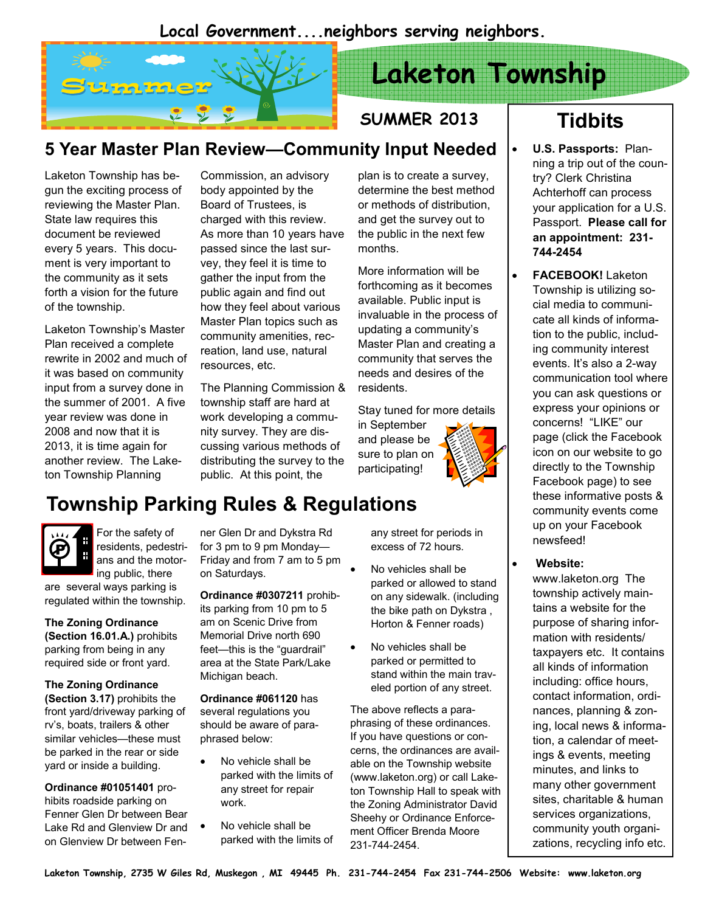### Local Government....neighbors serving neighbors.



# Laketon Township

## SUMMER 2013

## 5 Year Master Plan Review—Community Input Needed

Laketon Township has begun the exciting process of reviewing the Master Plan. State law requires this document be reviewed every 5 years. This document is very important to the community as it sets forth a vision for the future of the township.

Laketon Township's Master Plan received a complete rewrite in 2002 and much of it was based on community input from a survey done in the summer of 2001. A five year review was done in 2008 and now that it is 2013, it is time again for another review. The Laketon Township Planning

Commission, an advisory body appointed by the Board of Trustees, is charged with this review. As more than 10 years have passed since the last survey, they feel it is time to gather the input from the public again and find out how they feel about various Master Plan topics such as community amenities, recreation, land use, natural resources, etc.

The Planning Commission & township staff are hard at work developing a community survey. They are discussing various methods of distributing the survey to the public. At this point, the

plan is to create a survey, determine the best method or methods of distribution, and get the survey out to the public in the next few months.

More information will be forthcoming as it becomes available. Public input is invaluable in the process of updating a community's Master Plan and creating a community that serves the needs and desires of the residents.

Stay tuned for more details

in September and please be sure to plan on participating!



# Township Parking Rules & Regulations



For the safety of residents, pedestrians and the motoring public, there

are several ways parking is regulated within the township.

The Zoning Ordinance (Section 16.01.A.) prohibits parking from being in any required side or front yard.

The Zoning Ordinance (Section 3.17) prohibits the

front yard/driveway parking of rv's, boats, trailers & other similar vehicles—these must be parked in the rear or side yard or inside a building.

Ordinance #01051401 prohibits roadside parking on Fenner Glen Dr between Bear Lake Rd and Glenview Dr and on Glenview Dr between Fen-

ner Glen Dr and Dykstra Rd for 3 pm to 9 pm Monday— Friday and from 7 am to 5 pm on Saturdays.

Ordinance #0307211 prohibits parking from 10 pm to 5 am on Scenic Drive from Memorial Drive north 690 feet—this is the "guardrail" area at the State Park/Lake Michigan beach.

Ordinance #061120 has several regulations you should be aware of paraphrased below:

- No vehicle shall be parked with the limits of any street for repair work.
- No vehicle shall be parked with the limits of

any street for periods in excess of 72 hours.

- No vehicles shall be parked or allowed to stand on any sidewalk. (including the bike path on Dykstra , Horton & Fenner roads)
- No vehicles shall be parked or permitted to stand within the main traveled portion of any street.

The above reflects a paraphrasing of these ordinances. If you have questions or concerns, the ordinances are available on the Township website (www.laketon.org) or call Laketon Township Hall to speak with the Zoning Administrator David Sheehy or Ordinance Enforcement Officer Brenda Moore 231-744-2454.

# **Tidbits**

- U.S. Passports: Planning a trip out of the country? Clerk Christina Achterhoff can process your application for a U.S. Passport. Please call for an appointment: 231- 744-2454
- FACEBOOK! Laketon Township is utilizing social media to communicate all kinds of information to the public, including community interest events. It's also a 2-way communication tool where you can ask questions or express your opinions or concerns! "LIKE" our page (click the Facebook icon on our website to go directly to the Township Facebook page) to see these informative posts & community events come up on your Facebook newsfeed!

#### Website:

www.laketon.org The township actively maintains a website for the purpose of sharing information with residents/ taxpayers etc. It contains all kinds of information including: office hours, contact information, ordinances, planning & zoning, local news & information, a calendar of meetings & events, meeting minutes, and links to many other government sites, charitable & human services organizations, community youth organizations, recycling info etc.